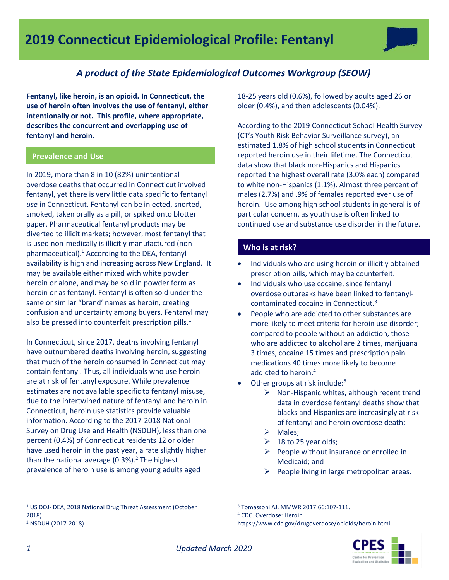

## *A product of the State Epidemiological Outcomes Workgroup (SEOW)*

**Fentanyl, like heroin, is an opioid. In Connecticut, the use of heroin often involves the use of fentanyl, either intentionally or not. This profile, where appropriate, describes the concurrent and overlapping use of fentanyl and heroin.**

## **Prevalence and Use**

In 2019, more than 8 in 10 (82%) unintentional overdose deaths that occurred in Connecticut involved fentanyl, yet there is very little data specific to fentanyl *use* in Connecticut. Fentanyl can be injected, snorted, smoked, taken orally as a pill, or spiked onto blotter paper. Pharmaceutical fentanyl products may be diverted to illicit markets; however, most fentanyl that is used non-medically is illicitly manufactured (nonpharmaceutical). $<sup>1</sup>$  According to the DEA, fentanyl</sup> availability is high and increasing across New England. It may be available either mixed with white powder heroin or alone, and may be sold in powder form as heroin or as fentanyl. Fentanyl is often sold under the same or similar "brand' names as heroin, creating confusion and uncertainty among buyers. Fentanyl may also be pressed into counterfeit prescription pills.<sup>1</sup>

In Connecticut, since 2017, deaths involving fentanyl have outnumbered deaths involving heroin, suggesting that much of the heroin consumed in Connecticut may contain fentanyl. Thus, all individuals who use heroin are at risk of fentanyl exposure. While prevalence estimates are not available specific to fentanyl misuse, due to the intertwined nature of fentanyl and heroin in Connecticut, heroin use statistics provide valuable information. According to the 2017-2018 National Survey on Drug Use and Health (NSDUH), less than one percent (0.4%) of Connecticut residents 12 or older have used heroin in the past year, a rate slightly higher than the national average  $(0.3\%)$ <sup>2</sup>. The highest prevalence of heroin use is among young adults aged

18-25 years old (0.6%), followed by adults aged 26 or older (0.4%), and then adolescents (0.04%).

According to the 2019 Connecticut School Health Survey (CT's Youth Risk Behavior Surveillance survey), an estimated 1.8% of high school students in Connecticut reported heroin use in their lifetime. The Connecticut data show that black non-Hispanics and Hispanics reported the highest overall rate (3.0% each) compared to white non-Hispanics (1.1%). Almost three percent of males (2.7%) and .9% of females reported ever use of heroin. Use among high school students in general is of particular concern, as youth use is often linked to continued use and substance use disorder in the future.

## **Who is at risk?**

- Individuals who are using heroin or illicitly obtained prescription pills, which may be counterfeit.
- Individuals who use cocaine, since fentanyl overdose outbreaks have been linked to fentanylcontaminated cocaine in Connecticut.<sup>3</sup>
- People who are addicted to other substances are more likely to meet criteria for heroin use disorder; compared to people without an addiction, those who are addicted to alcohol are 2 times, marijuana 3 times, cocaine 15 times and prescription pain medications 40 times more likely to become addicted to heroin.<sup>4</sup>
- Other groups at risk include:<sup>5</sup>
	- $\triangleright$  Non-Hispanic whites, although recent trend data in overdose fentanyl deaths show that blacks and Hispanics are increasingly at risk of fentanyl and heroin overdose death;
	- > Males;
	- $\geq$  18 to 25 year olds;
	- $\triangleright$  People without insurance or enrolled in Medicaid; and
	- $\triangleright$  People living in large metropolitan areas.

https://www.cdc.gov/drugoverdose/opioids/heroin.html



 $\overline{a}$ 

<sup>1</sup> US DOJ- DEA, 2018 National Drug Threat Assessment (October 2018) <sup>2</sup> NSDUH (2017-2018)

<sup>3</sup> Tomassoni AJ. MMWR 2017;66:107-111.

<sup>4</sup> CDC. Overdose: Heroin.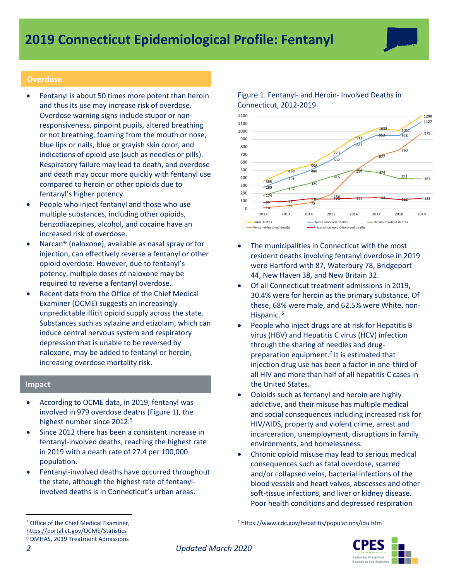### **Overdose**

- Fentanyl is about 50 times more potent than heroin and thus its use may increase risk of overdose. Overdose warning signs include stupor or nonresponsiveness, pinpoint pupils, altered breathing or not breathing, foaming from the mouth or nose, blue lips or nails, blue or grayish skin color, and indications of opioid use (such as needles or pills). Respiratory failure may lead to death, and overdose and death may occur more quickly with fentanyl use compared to heroin or other opioids due to fentanyl's higher potency.
- People who inject fentanyl and those who use multiple substances, including other opioids, benzodiazepines, alcohol, and cocaine have an increased risk of overdose.
- Narcan® (naloxone), available as nasal spray or for injection, can effectively reverse a fentanyl or other opioid overdose. However, due to fentanyl's potency, multiple doses of naloxone may be required to reverse a fentanyl overdose.
- Recent data from the Office of the Chief Medical Examiner (OCME) suggests an increasingly unpredictable illicit opioid supply across the state. Substances such as xylazine and etizolam, which can induce central nervous system and respiratory depression that is unable to be reversed by naloxone, may be added to fentanyl or heroin, increasing overdose mortality risk.

#### **Impact**

- According to OCME data, in 2019, fentanyl was involved in 979 overdose deaths (Figure 1), the highest number since 2012.<sup>5</sup>
- Since 2012 there has been a consistent increase in fentanyl-involved deaths, reaching the highest rate in 2019 with a death rate of 27.4 per 100,000 population.
- Fentanyl-involved deaths have occurred throughout the state, although the highest rate of fentanylinvolved deaths is in Connecticut's urban areas.



**2012 2013 2014 2015 2016 2017 2018 2019**

## Figure 1. Fentanyl- and Heroin- Involved Deaths in Connecticut, 2012-2019

**75**

**Fentanyl-involved deaths Prescription opioid-involved deaths**

**<sup>14</sup> <sup>37</sup>**

**0**



**Total Deaths Constanting Compose Composed Composed deaths Constanting Composed deaths** 

- Of all Connecticut treatment admissions in 2019, 30.4% were for heroin as the primary substance. Of these, 68% were male, and 62.5% were White, non-Hispanic. <sup>6</sup>
- People who inject drugs are at risk for Hepatitis B virus (HBV) and Hepatitis C virus (HCV) infection through the sharing of needles and drugpreparation equipment.<sup>7</sup> It is estimated that injection drug use has been a factor in one-third of all HIV and more than half of all hepatitis C cases in the United States.
- Opioids such as fentanyl and heroin are highly addictive, and their misuse has multiple medical and social consequences including increased risk for HIV/AIDS, property and violent crime, arrest and incarceration, unemployment, disruptions in family environments, and homelessness*.*
- Chronic opioid misuse may lead to serious medical consequences such as fatal overdose, scarred and/or collapsed veins, bacterial infections of the blood vessels and heart valves, abscesses and other soft-tissue infections, and liver or kidney disease. Poor health conditions and depressed respiration

<sup>7</sup> <https://www.cdc.gov/hepatitis/populations/idu.htm>



*2 Updated March 2020*

 $\overline{a}$ 

<sup>5</sup> Office of the Chief Medical Examiner, <https://portal.ct.gov/OCME/Statistics> <sup>6</sup> DMHAS, 2019 Treatment Admissions